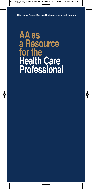**This is A.A. General Service Conference-approved literature**

# **AA as a Resource for the Health Care Professional**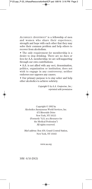*ALCOHOLICS ANONYMOUS®* is a fellowship of men and women who share their experience, strength and hope with each other that they may solve their common problem and help others to recover from alcoholism.

• The only requirement for membership is a desire to stop drinking. There are no dues or fees for A.A. membership; we are self-supporting through our own contributions.

• A.A. is not allied with any sect, denomination, politics, organization or institution; does not wish to engage in any controversy; neither endorses nor opposes any causes.

• Our primary purpose is to stay sober and help other alcoholics to achieve sobriety.

> *Copyright © by A.A. Grapevine, Inc.; reprinted with permission*

Copyright © 1992 by Alcoholics Anonymous World Services, Inc. 475 Riverside Drive New York, NY 10115 (Formerly "A.A. as a Resource for the Medical Profession") All rights reserved.

*Mail address:* Box 459, Grand Central Station, New York, NY 10163

www.aa.org

30M - 8/16 (DG3)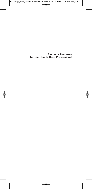**A.A. as a Resource for the Health Care Professional**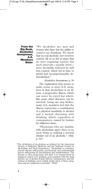**From the Big Book,** *Alcoholics Anonymous,* **A.A. Members State:**

"We alcoholics are men and women who have lost the ability to control our drinking. We know that no real alcoholic *ever* recovers control. All of us felt at times that we were regaining control, but such intervals—usually brief were inevitably followed by still less control, which led in time to pitiful and incomprehensible demoralization."

*Alcoholics Anonymous*, p. 30

The explanation that seems to make sense to most A.A. members is that alcoholism is an illness, a progressive illness, which can never be cured but which, like some other diseases, can be arrested. Going one step further, many A.A. members feel that the illness represents a combination of a physical sensitivity to alcohol and a mental obsession with drinking, which, regardless of consequences, cannot be broken by willpower alone.

"Physicians who are familiar with alcoholism agree there is no such thing as making a normal drinker out of an alcoholic." *(ibid,* p. 31)\*

<sup>\*</sup>The definition of alcoholism as defined by the American Society of Addiction Medicine and the National Council on Alcoholism and Drug Dependence: "Alcoholism is a primary, chronic disease with genetic, psychosocial, and environmental factors influencing its development and manifestations. The disease is often progressive and fatal. It is characterized by impaired control over drinking, preoccupation with the drug alcohol, use of alcohol despite adverse consequences, and distortions in thinking, most notably denial. Each of these symptoms may be continuous or periodic." (1992)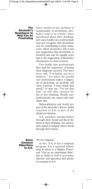### **The Alcoholic's Resistance to Help Can be Frustrating**

Since denial of the problem is symptomatic of alcoholism, alcoholics tend to be evasive when questioned about their drinking, and some health care professionals may not recognize that alcoholism may be contributing to their symptoms. Most alcoholics will resist any suggestion that alcoholism is involved and may be equally resistant to the suggestion of Alcoholics Anonymous as a last recourse.

Few health care professionals have had the experience of having their diagnosis rejected. Few have been told, "I certainly am not a diabetic." Yet when the health care professional makes a diagnosis of alcoholism, an alcoholic will often respond, "I don't drink that much," or may say, "I'm not that bad," or will offer excuses for his or her drinking. Health care professionals can expect and anticipate this.

Rationalization and denial are part of the alcoholic's illness. Initial rejection of A.A. is part of the denial mechanism.

A.A. members, having broken through their denial and faced the harm in their drinking, are particularly suited to helping others break through their denial.

**Some Common Objections to A.A.**

#### *"It's too religious."*

In fact, A.A. is not a religious program, but a spiritual fellowship. It refers to a "Higher Power" and "God *as we understand Him*," but no belief in God is necessary; atheists and agnostics find plenty of company in A.A.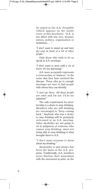As stated in the A.A. Preamble (which appears on the inside cover of this brochure): "A.A. is not allied with any sect, denomination, politics, organization or institution; . . ."

*"I don't want to stand up and bare my soul in front of a lot of other people."*

Only those who wish to do so speak at A.A. meetings.

## *"I don't want to meet with a lot of losers. It's too depressing."*

A.A. more accurately represents a cross-section of "winners," in the sense that they have survived the disease. Those who go to enough meetings are sure to find people with whom they can identify.

# *"I can't go there. All those people are sober and I'm not. I'd be too ashamed."*

The only requirement for membership is a *desire* to stop drinking. Members who are still drinking are encouraged to "keep coming back." Anybody who has a desire to stop drinking will be genuinely welcomed at an A.A. meeting. Sober alcoholics are not going to sit in judgment of someone who cannot stop drinking, since not being able to stop drinking is what brought them to A.A.

# *"I don't want everyone to know about my drinking."*

Anonymity is and always has been the basis of the A.A. program. Traditionally, A.A. members never disclose their association with the movement in print, on the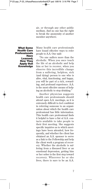air, or through any other public medium. And no one has the right to break the anonymity of another member anywhere.

**What Some Health Care Professionals Have Learned; How They Apply that Knowledge**

Many health care professionals have found effective ways to refer people to A.A. One said:

"No one suffers more than the alcoholic. When you once touch the life of an alcoholic and help him or her to recover, when you observe this incredible change from a suffering, helpless, sick (and dying) person to one who is alive, vital, functioning, and happy, you will be part of a rich, rewarding, and profound experience. A.A. is the most effective means of helping an alcoholic to stop drinking."

Another physician suggests health care professionals should attend open A.A. meetings, as it is extremely difficult to feel confident in referring someone to an organization about which the health care professional has little information. This health care professional finds it helpful to have a list of A.A. contacts available to take people to their first meeting. She suggests specific inquiries as to which meetings have been attended, how frequently, and whether the client has obtained an A.A. sponsor to serve as a link to the Fellowship and help the client work a program of recovery. Whether the alcoholic is suffering from a diseased liver or an emotional depression, getting him or her sober is the first step toward recovery. Wherever he or she lives, there is sure to be an A.A.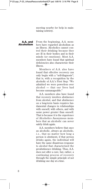meeting nearby for help in maintaining sobriety.

From the beginning, A.A. members have regarded alcoholism as an illness. Alcoholics cannot con-**A.A. and Alcoholism**

trol their drinking because they are ill in their bodies and in their minds (or emotions). Most A.A. members have found that spiritual deficiencies also characterize their illness. Members of A.A. also have

found that effective recovery can only begin with a "self-diagnosis"; that is, with a recognition by the alcoholic of A.A.'s First Step: "We admitted we were powerless over alcohol — that our lives had become unmanageable."

A.A. members also have found that recovery involves abstinence from alcohol, and that abstinence on a long-term basis requires fundamental changes in relationships with oneself, with others, and with some power greater than oneself. That is because it is the experience of Alcoholics Anonymous members that an alcoholic can never safely drink again.

A.A. members believe that once an alcoholic, always an alcoholic, *i.e.,* that no matter how long a person is abstinent, if that person drinks again, the individual will have the same disastrous response to alcohol that characterized the preabstinence drinking. Thus, A.A. does not offer a cure, but, rather, a continuing process of recovery through the simple principle of not drinking one day at a time.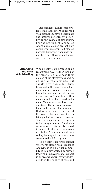Researchers, health care professionals and others concerned with alcoholism have a legitimate and natural concern with identifying the causes of alcoholism. For the program of Alcoholics Anonymous, causes are not only considered irrelevant but also as possibly distracting from undertaking the straightforward abstinence and recovery program.

## **Attending the First A.A. Meeting**

When health care professionals recommend A.A., neither they nor the alcoholic should base their opinion of the effectiveness of A.A. on one or two meetings, but should give A.A. a fair trial. Important in this process is obtaining a sponsor, even on a temporary basis. Having someone attend his or her first A.A. meeting with a member is desirable, though not a must. Most newcomers have many questions. The sponsor can answer these and reassure the newcomer that others have experienced the same reluctance and fear in taking a first step toward recovery. Sharing experience as peers is the unique service Alcoholics Anonymous offers. In most instances, health care professionals find A.A. members not only willing but eager to introduce newcomers to the A.A. program.

The health care professional who works closely with Alcoholics Anonymous in his or her community is in a key position to provide leadership, education and support in an area which will pay great dividends in the quality of care and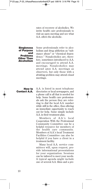rates of recovery of alcoholics. We invite health care professionals to visit an open meeting and see what A.A. offers the alcoholic.

#### **Singleness of Purpose and Problems Other Than Alcoholism**

Some professionals refer to alcoholism and drug addiction as "substance abuse" or "chemical dependency." Nonalcoholics are, therefore, sometimes introduced to A.A. and encouraged to attend A.A. meetings. Nonalcoholics may attend *open* A.A. meetings as observers, but only those with a *drinking* problem may attend *closed* meetings.

# **How to Contact A.A.**

A.A. is listed in most telephone directories or local newspapers, and a phone call is all that is needed for help. Some health care professionals ask the person they are referring to dial the local A.A. number while still in the office, thus offering an immediate opportunity to reach out for help. Some simply include A.A. in their treatment plan.

Members of A.A.'s local Cooperation With the Professional Community Committee can be a helpful resource for members of the health care community. Members of A.A.'s local Treatment Facilities Committee can also be helpful if you have a client in a treatment facility.

Many local A.A. service committees will, upon request, provide informational presentations for your organization. Sessions can be tailored to meet your needs. A typical agenda might include one of several A.A. films and a pre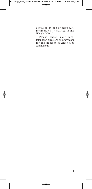sentation by one or more A.A. members on "What A.A. Is and What It Is Not."

Please check your local telephone directory or newspaper for the number of Alcoholics Anonymous.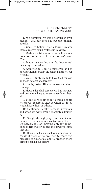1. We admitted we were powerless over alcohol—that our lives had become unmanageable.

2. Came to believe that a Power greater than ourselves could restore us to sanity.

3. Made a decision to turn our will and our lives over to the care of God *as we understood Him.*

4. Made a searching and fearless moral inventory of ourselves.

5. Admitted to God, to ourselves and to another human being the exact nature of our wrongs.

6. Were entirely ready to have God remove all these defects of character.

7. Humbly asked Him to remove our shortcomings.

8. Made a list of all persons we had harmed, and became willing to make amends to them all.

9. Made direct amends to such people wherever possible, except when to do so would injure them or others.

10. Continued to take personal inventory and when we were wrong promptly admitted it.

11. Sought through prayer and meditation to improve our conscious contact with God, *as we understood Him,* praying only for knowledge of His will for us and the power to carry that out.

12. Having had a spiritual awakening as the result of these steps, we tried to carry this message to alcoholics, and to practice these principles in all our affairs.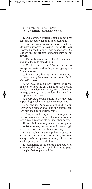# THE TWELVE TRADITIONS OF ALCOHOLICS ANONYMOUS

1. Our common welfare should come first; personal recovery depends upon A.A. unity.

2. For our group purpose there is but one ultimate authority—a loving God as He may express Himself in our group conscience. Our leaders are but trusted servants; they do not govern.

3. The only requirement for A.A. membership is a desire to stop drinking.

4. Each group should be autonomous except in matters affecting other groups or A.A. as a whole.

5. Each group has but one primary purpose—to carry its message to the alcoholic who still suffers.

6. An A.A. group ought never endorse, finance, or lend the A.A. name to any related facility or outside enterprise, lest problems of money, property, and prestige divert us from our primary purpose.

7. Every A.A. group ought to be fully selfsupporting, declining outside contributions.

8. Alcoholics Anonymous should remain forever non-professional, but our service centers may employ special workers.

9. A.A., as such, ought never be organized; but we may create service boards or committees directly responsible to those they serve.

10. Alcoholics Anonymous has no opinion on outside issues; hence the A.A. name ought never be drawn into public controversy.

11. Our public relations policy is based on attraction rather than promotion; we need always maintain personal anonymity at the level of press, radio, and films.

12. Anonymity is the spiritual foundation of all our traditions, ever reminding us to place principles before personalities.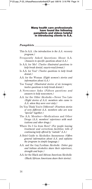#### **Many health care professionals have found the following pamphlets and videos helpful in introducing clients to A.A.**

## *Pamphlets*

- This Is A.A. *(An introduction to the A.A. recovery program.)*
- Frequently Asked Questions About A.A. *(Answers to specific questions about A.A.)*
- Is A.A. for Me? *(Twelve illustrated questions to help break denial; easy-to-read format.)*
- Is A.A. for You? *(Twelve questions to help break denial.)*
- A.A. for the Woman *(Eight women's stories and information about A.A.)*
- Too Young? *(Illustrated stories of six teenagers; twelve questions to help break denial.)*
- A Newcomer Asks *(Fifteen questions and answers to help newcomers.)*
- A.A. for the Older Alcoholic—Never Too Late *(Eight stories of A.A. members who came to A.A. when they were over sixty.)*
- Do You Think You're Different? *(Fourteen stories of very different A.A. members who are now "special" together.)*
- The A.A. Member—Medications and Other Drugs *(A.A. members' experience with medications and other drugs.)*
- Where Do I Go from Here? *(For people leaving treatment and corrections facilities; tells of continuing help offered by "outside" A.A.)*
- A Brief Guide to Alcoholics Anonymous *(Offers general information about A.A. and explains the program in simple language.)*
- A.A. and the Gay/Lesbian Alcoholic *(Sober gay and lesbian alcoholics share their experience, strength and hope.)*
- A.A. for the Black and African American Alcoholic *(Black/African Americans share their stories).*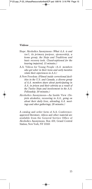## *Videos* \_\_\_\_\_\_\_\_\_\_\_\_\_\_\_\_\_\_\_\_\_\_\_\_\_\_\_\_\_\_\_\_\_\_\_\_\_\_\_\_\_\_\_\_\_\_\_

- Hope: Alcoholics Anonymous *(What A.A. is and isn't, its primary purpose, sponsorship, a home group, the Steps and Traditions and basic recovery tools. Closed-captioned for the hearing impaired; 15 minutes.)*
- A.A. Videos for Young People *(A.A. members who got sober in their teens and early twenties relate their experiences in A.A.)*
- A New Freedom *(Filmed inside correctional facilities in the U.S. and Canada, a diverse group of A.A. members share about participating in A.A. in prison and their sobriety as a result of the Twelve Steps and involvement in the A.A. Fellowship; 30 minutes.)*
- Alcoholics Anonymous—An Inside View *(Depicts alcoholics, recovering in A.A., going on about their daily lives, attending A.A. meetings and other gatherings; 28 minutes.)*

A catalog and order form of A.A. Conferenceapproved literature, videos and other material are available from the General Service Office of Alcoholics Anonymous, Box 459, Grand Central Station, New York, NY 10163